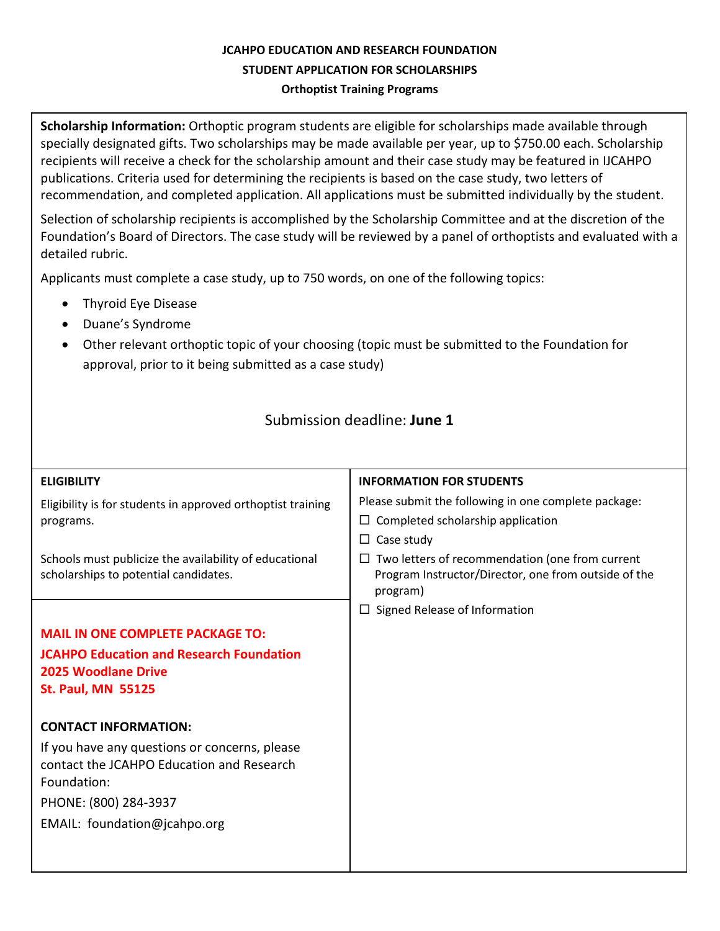# **JCAHPO EDUCATION AND RESEARCH FOUNDATION STUDENT APPLICATION FOR SCHOLARSHIPS Orthoptist Training Programs**

**Scholarship Information:** Orthoptic program students are eligible for scholarships made available through specially designated gifts. Two scholarships may be made available per year, up to \$750.00 each. Scholarship recipients will receive a check for the scholarship amount and their case study may be featured in IJCAHPO publications. Criteria used for determining the recipients is based on the case study, two letters of recommendation, and completed application. All applications must be submitted individually by the student.

Selection of scholarship recipients is accomplished by the Scholarship Committee and at the discretion of the Foundation's Board of Directors. The case study will be reviewed by a panel of orthoptists and evaluated with a detailed rubric.

Applicants must complete a case study, up to 750 words, on one of the following topics:

- Thyroid Eye Disease
- Duane's Syndrome
- Other relevant orthoptic topic of your choosing (topic must be submitted to the Foundation for approval, prior to it being submitted as a case study)

# Submission deadline: **June 1**

| <b>ELIGIBILITY</b>                                                       | <b>INFORMATION FOR STUDENTS</b>                                  |
|--------------------------------------------------------------------------|------------------------------------------------------------------|
| Eligibility is for students in approved orthoptist training<br>programs. | Please submit the following in one complete package:             |
|                                                                          | $\Box$ Completed scholarship application                         |
|                                                                          | $\Box$ Case study                                                |
| Schools must publicize the availability of educational                   | $\Box$ Two letters of recommendation (one from current           |
| scholarships to potential candidates.                                    | Program Instructor/Director, one from outside of the<br>program) |
|                                                                          | $\Box$ Signed Release of Information                             |
| <b>MAIL IN ONE COMPLETE PACKAGE TO:</b>                                  |                                                                  |
| <b>JCAHPO Education and Research Foundation</b>                          |                                                                  |
| <b>2025 Woodlane Drive</b>                                               |                                                                  |
| <b>St. Paul, MN 55125</b>                                                |                                                                  |
| <b>CONTACT INFORMATION:</b>                                              |                                                                  |
| If you have any questions or concerns, please                            |                                                                  |
| contact the JCAHPO Education and Research                                |                                                                  |
| Foundation:                                                              |                                                                  |
| PHONE: (800) 284-3937                                                    |                                                                  |
| EMAIL: foundation@jcahpo.org                                             |                                                                  |
|                                                                          |                                                                  |
|                                                                          |                                                                  |
|                                                                          |                                                                  |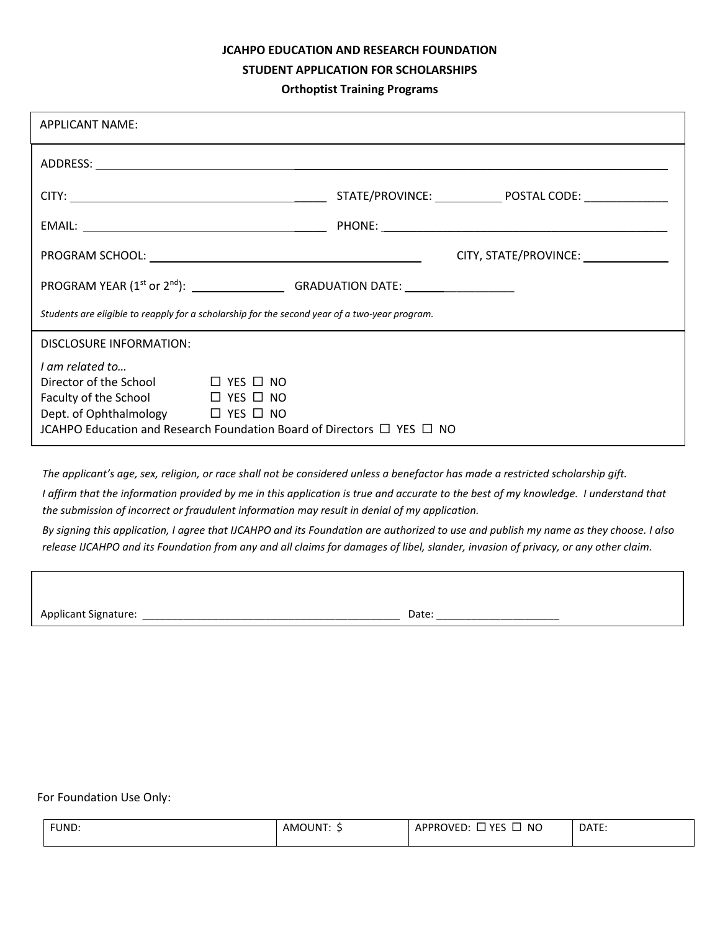#### **JCAHPO EDUCATION AND RESEARCH FOUNDATION**

#### **STUDENT APPLICATION FOR SCHOLARSHIPS**

#### **Orthoptist Training Programs**

| <b>APPLICANT NAME:</b>                                                                                                                                                                                            |                       |  |  |  |
|-------------------------------------------------------------------------------------------------------------------------------------------------------------------------------------------------------------------|-----------------------|--|--|--|
|                                                                                                                                                                                                                   |                       |  |  |  |
|                                                                                                                                                                                                                   |                       |  |  |  |
|                                                                                                                                                                                                                   |                       |  |  |  |
|                                                                                                                                                                                                                   | CITY, STATE/PROVINCE: |  |  |  |
| PROGRAM YEAR (1 <sup>st</sup> or 2 <sup>nd</sup> ): GRADUATION DATE: __________________                                                                                                                           |                       |  |  |  |
| Students are eligible to reapply for a scholarship for the second year of a two-year program.                                                                                                                     |                       |  |  |  |
| DISCLOSURE INFORMATION:                                                                                                                                                                                           |                       |  |  |  |
| I am related to<br>Director of the School □ YES □ NO<br>Faculty of the School □ YES □ NO<br>Dept. of Ophthalmology □ YES □ NO<br>JCAHPO Education and Research Foundation Board of Directors $\Box$ YES $\Box$ NO |                       |  |  |  |

*The applicant's age, sex, religion, or race shall not be considered unless a benefactor has made a restricted scholarship gift.*

*I affirm that the information provided by me in this application is true and accurate to the best of my knowledge. I understand that the submission of incorrect or fraudulent information may result in denial of my application.*

*By signing this application, I agree that IJCAHPO and its Foundation are authorized to use and publish my name as they choose. I also release IJCAHPO and its Foundation from any and all claims for damages of libel, slander, invasion of privacy, or any other claim.*

Applicant Signature: \_\_\_\_\_\_\_\_\_\_\_\_\_\_\_\_\_\_\_\_\_\_\_\_\_\_\_\_\_\_\_\_\_\_\_\_\_\_\_\_\_\_\_\_ Date: \_\_\_\_\_\_\_\_\_\_\_\_\_\_\_\_\_\_\_\_\_

For Foundation Use Only:

| FUND: | <b>AMOUN1</b> | . VEC<br><b>NC</b><br>DVED:<br><b>APPRC</b><br>--<br>__<br>__ | DATE: |
|-------|---------------|---------------------------------------------------------------|-------|
|       |               |                                                               |       |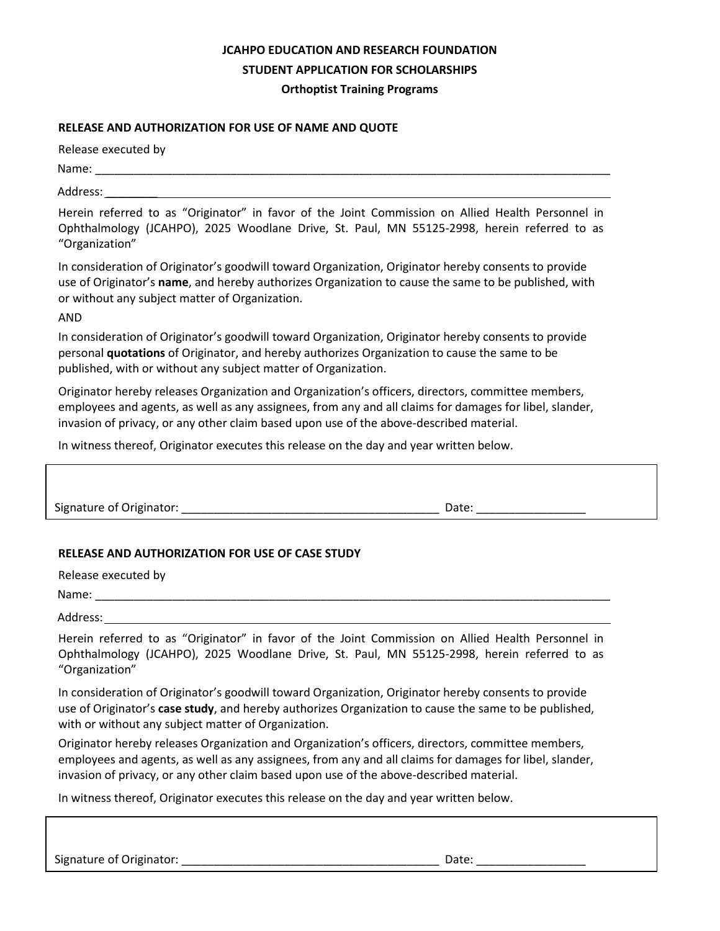## **JCAHPO EDUCATION AND RESEARCH FOUNDATION STUDENT APPLICATION FOR SCHOLARSHIPS Orthoptist Training Programs**

### **RELEASE AND AUTHORIZATION FOR USE OF NAME AND QUOTE**

Release executed by

Name: \_\_\_\_\_\_\_\_\_\_\_\_\_\_\_\_\_\_\_\_\_\_\_\_\_\_\_\_\_\_\_\_\_\_\_\_\_\_\_\_\_\_\_\_\_\_\_\_\_\_\_\_\_\_\_\_\_\_\_\_\_\_\_\_\_\_\_\_\_\_\_\_\_\_\_\_\_\_\_\_

Address: \_\_\_\_\_\_\_\_

Herein referred to as "Originator" in favor of the Joint Commission on Allied Health Personnel in Ophthalmology (JCAHPO), 2025 Woodlane Drive, St. Paul, MN 55125-2998, herein referred to as "Organization"

In consideration of Originator's goodwill toward Organization, Originator hereby consents to provide use of Originator's **name**, and hereby authorizes Organization to cause the same to be published, with or without any subject matter of Organization.

AND

In consideration of Originator's goodwill toward Organization, Originator hereby consents to provide personal **quotations** of Originator, and hereby authorizes Organization to cause the same to be published, with or without any subject matter of Organization.

Originator hereby releases Organization and Organization's officers, directors, committee members, employees and agents, as well as any assignees, from any and all claims for damages for libel, slander, invasion of privacy, or any other claim based upon use of the above-described material.

In witness thereof, Originator executes this release on the day and year written below.

Signature of Originator: \_\_\_\_\_\_\_\_\_\_\_\_\_\_\_\_\_\_\_\_\_\_\_\_\_\_\_\_\_\_\_\_\_\_\_\_\_\_\_\_ Date: \_\_\_\_\_\_\_\_\_\_\_\_\_\_\_\_\_

## **RELEASE AND AUTHORIZATION FOR USE OF CASE STUDY**

Release executed by

Name:

Address:

Herein referred to as "Originator" in favor of the Joint Commission on Allied Health Personnel in Ophthalmology (JCAHPO), 2025 Woodlane Drive, St. Paul, MN 55125-2998, herein referred to as "Organization"

In consideration of Originator's goodwill toward Organization, Originator hereby consents to provide use of Originator's **case study**, and hereby authorizes Organization to cause the same to be published, with or without any subject matter of Organization.

Originator hereby releases Organization and Organization's officers, directors, committee members, employees and agents, as well as any assignees, from any and all claims for damages for libel, slander, invasion of privacy, or any other claim based upon use of the above-described material.

In witness thereof, Originator executes this release on the day and year written below.

Signature of Originator: \_\_\_\_\_\_\_\_\_\_\_\_\_\_\_\_\_\_\_\_\_\_\_\_\_\_\_\_\_\_\_\_\_\_\_\_\_\_\_\_ Date: \_\_\_\_\_\_\_\_\_\_\_\_\_\_\_\_\_